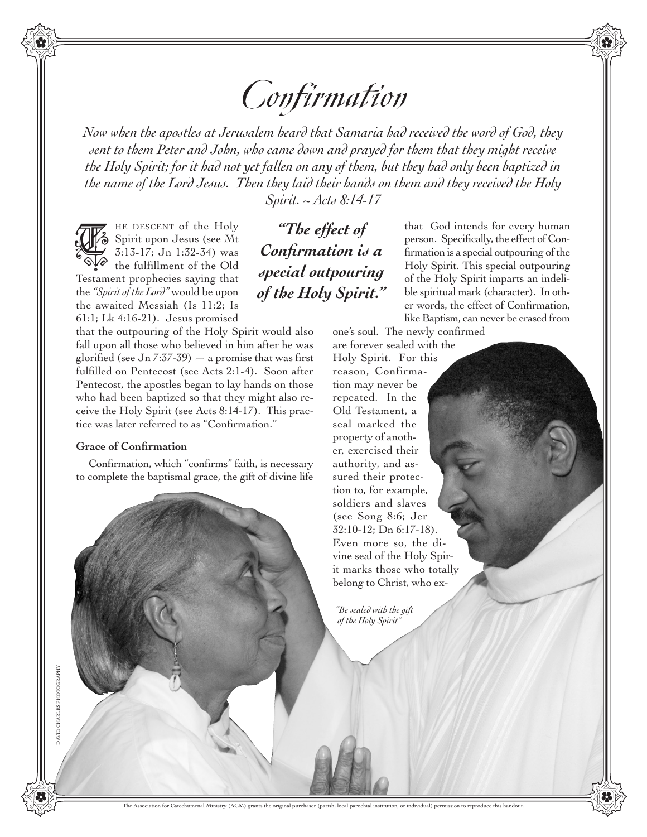# Confirmation

*Now when the apostles at Jerusalem heard that Samaria had received the word of God, they sent to them Peter and John, who came down and prayed for them that they might receive the Holy Spirit; for it had not yet fallen on any of them, but they had only been baptized in the name of the Lord Jesus. Then they laid their hands on them and they received the Holy Spirit. ~ Acts 8:14-17*

HE DESCENT of the Holy Spirit upon Jesus (see Mt 3:13-17; Jn 1:32-34) was  $\bullet$  the fulfillment of the Old The effect of<br>
<sup>The effect of<br>
<sup>3.13-17</sup>; Jn 1:32-34) was<br> **Confirmation is a**<br> **Confirmation is a**</sup>

Testament prophecies saying that the *"Spirit of the Lord"* would be upon the awaited Messiah (Is 11:2; Is 61:1; Lk 4:16-21). Jesus promised

that the outpouring of the Holy Spirit would also fall upon all those who believed in him after he was glorified (see Jn 7:37-39)  $-$  a promise that was first fulfilled on Pentecost (see Acts 2:1-4). Soon after Pentecost, the apostles began to lay hands on those who had been baptized so that they might also receive the Holy Spirit (see Acts 8:14-17). This practice was later referred to as "Confirmation."

## **Grace of Confirmation**

Confirmation, which "confirms" faith, is necessary to complete the baptismal grace, the gift of divine life

*special outpouring of the Holy Spirit."*

that God intends for every human person. Specifically, the effect of Confirmation is a special outpouring of the Holy Spirit. This special outpouring of the Holy Spirit imparts an indelible spiritual mark (character). In other words, the effect of Confirmation, like Baptism, can never be erased from

one's soul. The newly confirmed are forever sealed with the

Holy Spirit. For this reason, Confirmation may never be repeated. In the Old Testament, a seal marked the property of another, exercised their authority, and assured their protection to, for example, soldiers and slaves (see Song 8:6; Jer 32:10-12; Dn 6:17-18). Even more so, the divine seal of the Holy Spirit marks those who totally belong to Christ, who ex-

*"Be sealed with the gift of the Holy Spirit"*

The Association for Catechumenal Ministry (ACM) grants the original purchaser (parish, local parochial ins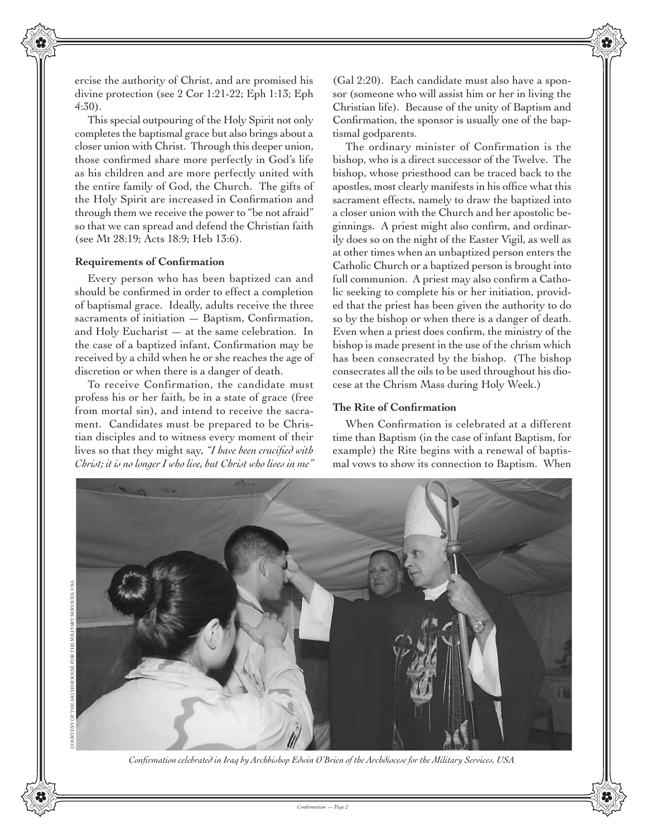

ercise the authority of Christ, and are promised his divine protection (see 2 Cor 1:21-22; Eph 1:13; Eph 4:30).

This special outpouring of the Holy Spirit not only completes the baptismal grace but also brings about a closer union with Christ. Through this deeper union, those confirmed share more perfectly in God's life as his children and are more perfectly united with the entire family of God, the Church. The gifts of the Holy Spirit are increased in Confirmation and through them we receive the power to "be not afraid" so that we can spread and defend the Christian faith (see Mt 28:19; Acts 18:9; Heb 13:6).

### **Requirements of Confirmation**

Every person who has been baptized can and should be confirmed in order to effect a completion of baptismal grace. Ideally, adults receive the three sacraments of initiation — Baptism, Confirmation, and Holy Eucharist — at the same celebration. In the case of a baptized infant, Confirmation may be received by a child when he or she reaches the age of discretion or when there is a danger of death.

To receive Confirmation, the candidate must profess his or her faith, be in a state of grace (free from mortal sin), and intend to receive the sacrament. Candidates must be prepared to be Christian disciples and to witness every moment of their lives so that they might say, *"I have been crucified with Christ; it is no longer I who live, but Christ who lives in me"* (Gal 2:20). Each candidate must also have a sponsor (someone who will assist him or her in living the Christian life). Because of the unity of Baptism and Confirmation, the sponsor is usually one of the baptismal godparents.

The ordinary minister of Confirmation is the bishop, who is a direct successor of the Twelve. The bishop, whose priesthood can be traced back to the apostles, most clearly manifests in his office what this sacrament effects, namely to draw the baptized into a closer union with the Church and her apostolic beginnings. A priest might also confirm, and ordinarily does so on the night of the Easter Vigil, as well as at other times when an unbaptized person enters the Catholic Church or a baptized person is brought into full communion. A priest may also confirm a Catholic seeking to complete his or her initiation, provided that the priest has been given the authority to do so by the bishop or when there is a danger of death. Even when a priest does confirm, the ministry of the bishop is made present in the use of the chrism which has been consecrated by the bishop. (The bishop consecrates all the oils to be used throughout his diocese at the Chrism Mass during Holy Week.)

## **The Rite of Confirmation**

When Confirmation is celebrated at a different time than Baptism (in the case of infant Baptism, for example) the Rite begins with a renewal of baptismal vows to show its connection to Baptism. When



 *Confirmation celebrated in Iraq by Archbishop Edwin O'Brien of the Archdiocese for the Military Services, USA*